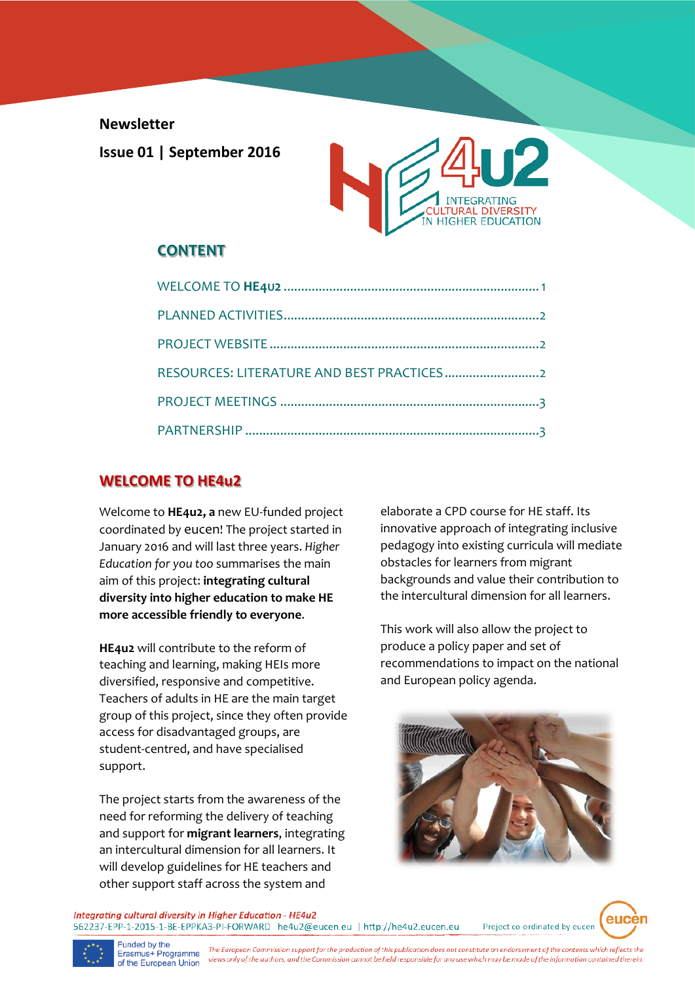**Newsletter**

**Issue 01 | September 2016**



# **CONTENT**

| RESOURCES: LITERATURE AND BEST PRACTICES |  |
|------------------------------------------|--|
|                                          |  |
|                                          |  |

## **WELCOME TO HE4u2**

Welcome to **HE4u2, a** new EU-funded project coordinated by eucen! The project started in January 2016 and will last three years. *Higher Education for you too* summarises the main aim of this project: **integrating cultural diversity into higher education to make HE more accessible friendly to everyone**.

**HE4u2** will contribute to the reform of teaching and learning, making HEIs more diversified, responsive and competitive. Teachers of adults in HE are the main target group of this project, since they often provide access for disadvantaged groups, are student-centred, and have specialised support.

The project starts from the awareness of the need for reforming the delivery of teaching and support for **migrant learners**, integrating an intercultural dimension for all learners. It will develop guidelines for HE teachers and other support staff across the system and

elaborate a CPD course for HE staff. Its innovative approach of integrating inclusive pedagogy into existing curricula will mediate obstacles for learners from migrant backgrounds and value their contribution to the intercultural dimension for all learners.

This work will also allow the project to produce a policy paper and set of recommendations to impact on the national and European policy agenda.



Integrating cultural diversity in Higher Education - HE4u2 562237-EPP-1-2015-1-BE-EPPKA3-PI-FORWARD he4u2@eucen.eu | http://he4u2.eucen.eu

Project co-ordinated by eucen





Funded by the<br>Erasmus+ Programme The European Commission support for the production of this publication does not constitute an endorsement of the contents which reflects the views only of the authors, and the Commission cannot be held responsible for any use which may be made of the information contained therein. of the European Union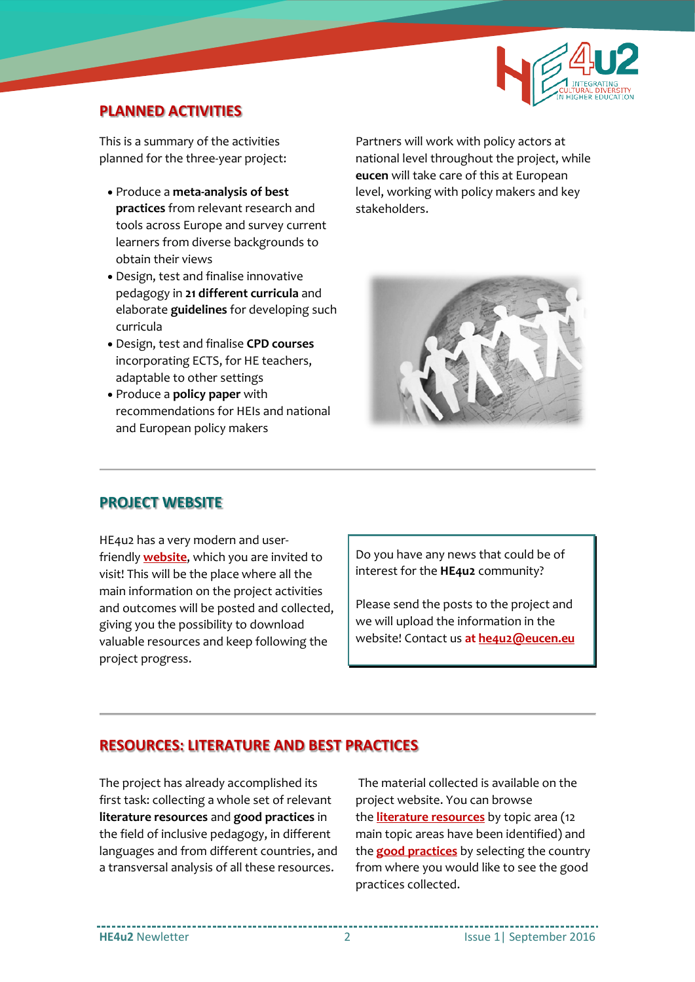

#### **PLANNED ACTIVITIES**

This is a summary of the activities planned for the three-year project:

- Produce a **meta-analysis of best practices** from relevant research and tools across Europe and survey current learners from diverse backgrounds to obtain their views
- Design, test and finalise innovative pedagogy in **21 different curricula** and elaborate **guidelines** for developing such curricula
- Design, test and finalise **CPD courses** incorporating ECTS, for HE teachers, adaptable to other settings
- Produce a **policy paper** with recommendations for HEIs and national and European policy makers

Partners will work with policy actors at national level throughout the project, while **eucen** will take care of this at European level, working with policy makers and key stakeholders.



## **PROJECT WEBSITE**

HE4u2 has a very modern and userfriendly **[website](http://he4u2.eucen.eu/)**, which you are invited to visit! This will be the place where all the main information on the project activities and outcomes will be posted and collected, giving you the possibility to download valuable resources and keep following the project progress.

Do you have any news that could be of interest for the **HE4u2** community?

Please send the posts to the project and we will upload the information in the website! Contact us **at [he4u2@eucen.eu](mailto:he4u2@eucen.eu)**

## **RESOURCES: LITERATURE AND BEST PRACTICES**

The project has already accomplished its first task: collecting a whole set of relevant **literature resources** and **good practices** in the field of inclusive pedagogy, in different languages and from different countries, and a transversal analysis of all these resources.

The material collected is available on the project website. You can browse the **[literature resources](http://he4u2.eucen.eu/literature/)** by topic area (12 main topic areas have been identified) and the **[good practices](http://he4u2.eucen.eu/good-practices/)** by selecting the country from where you would like to see the good practices collected.